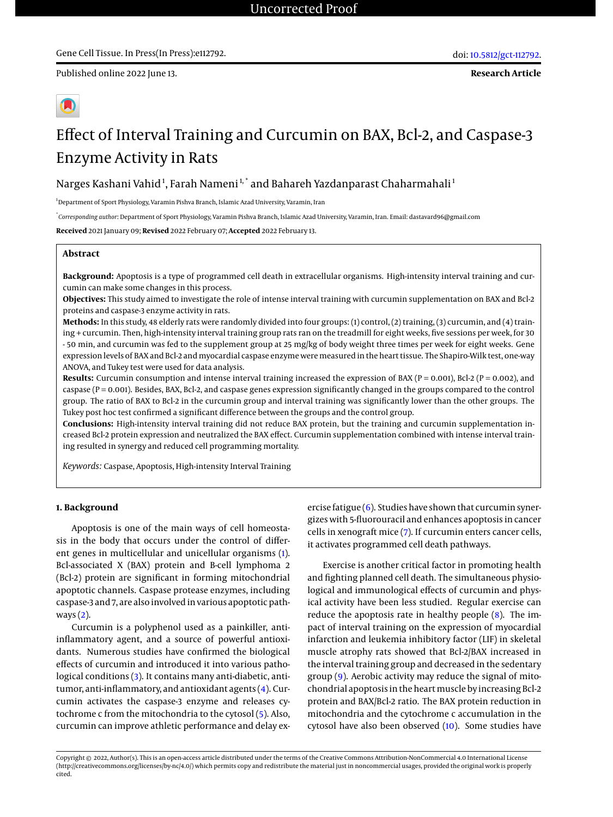Published online 2022 June 13.



# Effect of Interval Training and Curcumin on BAX, Bcl-2, and Caspase-3 Enzyme Activity in Rats

Narges Kashani Vahid<sup>1</sup>, Farah Nameni<sup>1,</sup>\* and Bahareh Yazdanparast Chaharmahali<sup>1</sup>

<sup>1</sup>Department of Sport Physiology, Varamin Pishva Branch, Islamic Azad University, Varamin, Iran

\* *Corresponding author*: Department of Sport Physiology, Varamin Pishva Branch, Islamic Azad University, Varamin, Iran. Email: dastavard96@gmail.com

**Received** 2021 January 09; **Revised** 2022 February 07; **Accepted** 2022 February 13.

# **Abstract**

**Background:** Apoptosis is a type of programmed cell death in extracellular organisms. High-intensity interval training and curcumin can make some changes in this process.

**Objectives:** This study aimed to investigate the role of intense interval training with curcumin supplementation on BAX and Bcl-2 proteins and caspase-3 enzyme activity in rats.

**Methods:** In this study, 48 elderly rats were randomly divided into four groups: (1) control, (2) training, (3) curcumin, and (4) training + curcumin. Then, high-intensity interval training group rats ran on the treadmill for eight weeks, five sessions per week, for 30 - 50 min, and curcumin was fed to the supplement group at 25 mg/kg of body weight three times per week for eight weeks. Gene expression levels of BAX and Bcl-2 and myocardial caspase enzyme were measured in the heart tissue. The Shapiro-Wilk test, one-way ANOVA, and Tukey test were used for data analysis.

**Results:** Curcumin consumption and intense interval training increased the expression of BAX (P = 0.001), Bcl-2 (P = 0.002), and caspase (P = 0.001). Besides, BAX, Bcl-2, and caspase genes expression significantly changed in the groups compared to the control group. The ratio of BAX to Bcl-2 in the curcumin group and interval training was significantly lower than the other groups. The Tukey post hoc test confirmed a significant difference between the groups and the control group.

**Conclusions:** High-intensity interval training did not reduce BAX protein, but the training and curcumin supplementation increased Bcl-2 protein expression and neutralized the BAX effect. Curcumin supplementation combined with intense interval training resulted in synergy and reduced cell programming mortality.

*Keywords:* Caspase, Apoptosis, High-intensity Interval Training

# **1. Background**

Apoptosis is one of the main ways of cell homeostasis in the body that occurs under the control of different genes in multicellular and unicellular organisms [\(1\)](#page-5-0). Bcl-associated X (BAX) protein and B-cell lymphoma 2 (Bcl-2) protein are significant in forming mitochondrial apoptotic channels. Caspase protease enzymes, including caspase-3 and 7, are also involved in various apoptotic pathways [\(2\)](#page-5-1).

Curcumin is a polyphenol used as a painkiller, antiinflammatory agent, and a source of powerful antioxidants. Numerous studies have confirmed the biological effects of curcumin and introduced it into various patho-logical conditions [\(3\)](#page-5-2). It contains many anti-diabetic, antitumor, anti-inflammatory, and antioxidant agents [\(4\)](#page-5-3). Curcumin activates the caspase-3 enzyme and releases cytochrome c from the mitochondria to the cytosol [\(5\)](#page-5-4). Also, curcumin can improve athletic performance and delay exercise fatigue [\(6\)](#page-5-5). Studies have shown that curcumin synergizes with 5-fluorouracil and enhances apoptosis in cancer cells in xenograft mice [\(7\)](#page-5-6). If curcumin enters cancer cells, it activates programmed cell death pathways.

Exercise is another critical factor in promoting health and fighting planned cell death. The simultaneous physiological and immunological effects of curcumin and physical activity have been less studied. Regular exercise can reduce the apoptosis rate in healthy people [\(8\)](#page-5-7). The impact of interval training on the expression of myocardial infarction and leukemia inhibitory factor (LIF) in skeletal muscle atrophy rats showed that Bcl-2/BAX increased in the interval training group and decreased in the sedentary group [\(9\)](#page-5-8). Aerobic activity may reduce the signal of mitochondrial apoptosis in the heart muscle by increasing Bcl-2 protein and BAX/Bcl-2 ratio. The BAX protein reduction in mitochondria and the cytochrome c accumulation in the cytosol have also been observed [\(10\)](#page-5-9). Some studies have

Copyright © 2022, Author(s). This is an open-access article distributed under the terms of the Creative Commons Attribution-NonCommercial 4.0 International License (http://creativecommons.org/licenses/by-nc/4.0/) which permits copy and redistribute the material just in noncommercial usages, provided the original work is properly cited.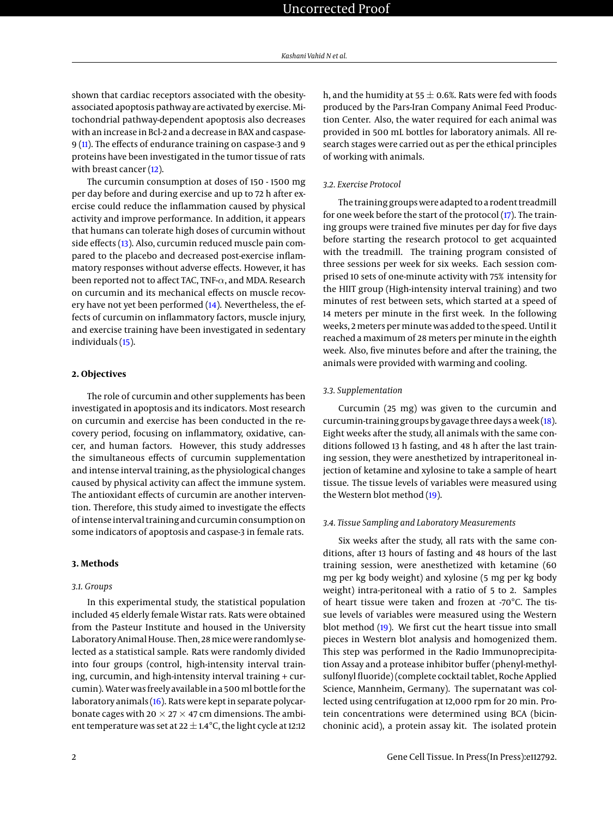shown that cardiac receptors associated with the obesityassociated apoptosis pathway are activated by exercise. Mitochondrial pathway-dependent apoptosis also decreases with an increase in Bcl-2 and a decrease in BAX and caspase-9 [\(11\)](#page-5-10). The effects of endurance training on caspase-3 and 9 proteins have been investigated in the tumor tissue of rats with breast cancer [\(12\)](#page-5-11).

The curcumin consumption at doses of 150 - 1500 mg per day before and during exercise and up to 72 h after exercise could reduce the inflammation caused by physical activity and improve performance. In addition, it appears that humans can tolerate high doses of curcumin without side effects [\(13\)](#page-5-12). Also, curcumin reduced muscle pain compared to the placebo and decreased post-exercise inflammatory responses without adverse effects. However, it has been reported not to affect TAC, TNF-α, and MDA. Research on curcumin and its mechanical effects on muscle recovery have not yet been performed [\(14\)](#page-5-13). Nevertheless, the effects of curcumin on inflammatory factors, muscle injury, and exercise training have been investigated in sedentary individuals [\(15\)](#page-5-14).

#### **2. Objectives**

The role of curcumin and other supplements has been investigated in apoptosis and its indicators. Most research on curcumin and exercise has been conducted in the recovery period, focusing on inflammatory, oxidative, cancer, and human factors. However, this study addresses the simultaneous effects of curcumin supplementation and intense interval training, as the physiological changes caused by physical activity can affect the immune system. The antioxidant effects of curcumin are another intervention. Therefore, this study aimed to investigate the effects of intense interval training and curcumin consumption on some indicators of apoptosis and caspase-3 in female rats.

### **3. Methods**

#### *3.1. Groups*

In this experimental study, the statistical population included 45 elderly female Wistar rats. Rats were obtained from the Pasteur Institute and housed in the University Laboratory Animal House. Then, 28mice were randomly selected as a statistical sample. Rats were randomly divided into four groups (control, high-intensity interval training, curcumin, and high-intensity interval training + curcumin). Water was freely available in a 500ml bottle for the laboratory animals [\(16\)](#page-6-0). Rats were kept in separate polycarbonate cages with 20  $\times$  27  $\times$  47 cm dimensions. The ambient temperature was set at 22  $\pm$  1.4°C, the light cycle at 12:12

h, and the humidity at 55  $\pm$  0.6%. Rats were fed with foods produced by the Pars-Iran Company Animal Feed Production Center. Also, the water required for each animal was provided in 500 mL bottles for laboratory animals. All research stages were carried out as per the ethical principles of working with animals.

#### *3.2. Exercise Protocol*

The training groups were adapted to a rodent treadmill for one week before the start of the protocol [\(17\)](#page-6-1). The training groups were trained five minutes per day for five days before starting the research protocol to get acquainted with the treadmill. The training program consisted of three sessions per week for six weeks. Each session comprised 10 sets of one-minute activity with 75% intensity for the HIIT group (High-intensity interval training) and two minutes of rest between sets, which started at a speed of 14 meters per minute in the first week. In the following weeks, 2meters perminute was added to the speed. Until it reached a maximum of 28 meters per minute in the eighth week. Also, five minutes before and after the training, the animals were provided with warming and cooling.

#### *3.3. Supplementation*

Curcumin (25 mg) was given to the curcumin and curcumin-training groups by gavage three days a week [\(18\)](#page-6-2). Eight weeks after the study, all animals with the same conditions followed 13 h fasting, and 48 h after the last training session, they were anesthetized by intraperitoneal injection of ketamine and xylosine to take a sample of heart tissue. The tissue levels of variables were measured using the Western blot method [\(19\)](#page-6-3).

### *3.4. Tissue Sampling and Laboratory Measurements*

Six weeks after the study, all rats with the same conditions, after 13 hours of fasting and 48 hours of the last training session, were anesthetized with ketamine (60 mg per kg body weight) and xylosine (5 mg per kg body weight) intra-peritoneal with a ratio of 5 to 2. Samples of heart tissue were taken and frozen at -70°C. The tissue levels of variables were measured using the Western blot method [\(19\)](#page-6-3). We first cut the heart tissue into small pieces in Western blot analysis and homogenized them. This step was performed in the Radio Immunoprecipitation Assay and a protease inhibitor buffer (phenyl-methylsulfonyl fluoride) (complete cocktail tablet, Roche Applied Science, Mannheim, Germany). The supernatant was collected using centrifugation at 12,000 rpm for 20 min. Protein concentrations were determined using BCA (bicinchoninic acid), a protein assay kit. The isolated protein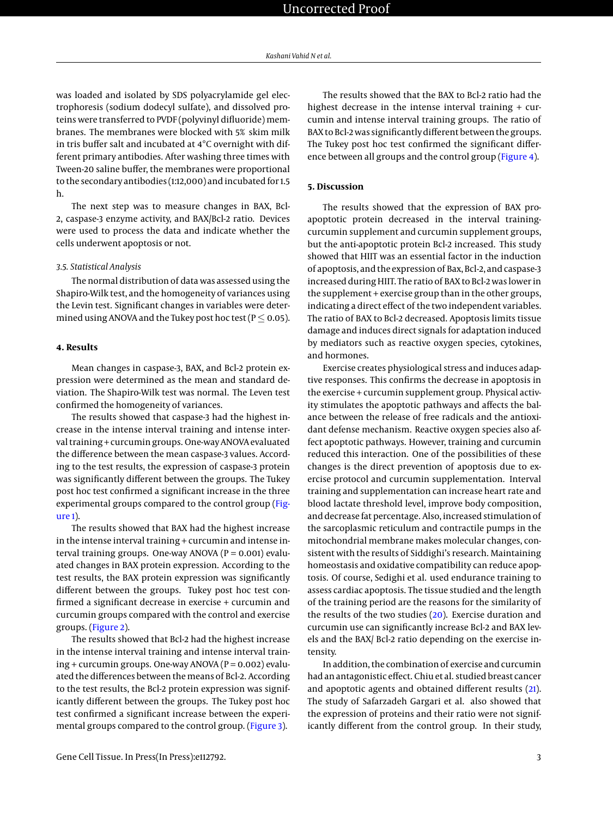was loaded and isolated by SDS polyacrylamide gel electrophoresis (sodium dodecyl sulfate), and dissolved proteins were transferred to PVDF (polyvinyl difluoride) membranes. The membranes were blocked with 5% skim milk in tris buffer salt and incubated at 4°C overnight with different primary antibodies. After washing three times with Tween-20 saline buffer, the membranes were proportional to the secondary antibodies (1:12,000) and incubated for 1.5 h.

The next step was to measure changes in BAX, Bcl-2, caspase-3 enzyme activity, and BAX/Bcl-2 ratio. Devices were used to process the data and indicate whether the cells underwent apoptosis or not.

#### *3.5. Statistical Analysis*

The normal distribution of data was assessed using the Shapiro-Wilk test, and the homogeneity of variances using the Levin test. Significant changes in variables were determined using ANOVA and the Tukey post hoc test ( $P \le 0.05$ ).

#### **4. Results**

Mean changes in caspase-3, BAX, and Bcl-2 protein expression were determined as the mean and standard deviation. The Shapiro-Wilk test was normal. The Leven test confirmed the homogeneity of variances.

The results showed that caspase-3 had the highest increase in the intense interval training and intense interval training + curcumin groups. One-way ANOVA evaluated the difference between the mean caspase-3 values. According to the test results, the expression of caspase-3 protein was significantly different between the groups. The Tukey post hoc test confirmed a significant increase in the three experimental groups compared to the control group [\(Fig](#page-3-0)[ure 1\)](#page-3-0).

The results showed that BAX had the highest increase in the intense interval training + curcumin and intense interval training groups. One-way ANOVA ( $P = 0.001$ ) evaluated changes in BAX protein expression. According to the test results, the BAX protein expression was significantly different between the groups. Tukey post hoc test confirmed a significant decrease in exercise + curcumin and curcumin groups compared with the control and exercise groups. [\(Figure 2\)](#page-3-1).

The results showed that Bcl-2 had the highest increase in the intense interval training and intense interval training + curcumin groups. One-way ANOVA ( $P = 0.002$ ) evaluated the differences between the means of Bcl-2. According to the test results, the Bcl-2 protein expression was significantly different between the groups. The Tukey post hoc test confirmed a significant increase between the experi-mental groups compared to the control group. [\(Figure 3\)](#page-4-0).

The results showed that the BAX to Bcl-2 ratio had the highest decrease in the intense interval training + curcumin and intense interval training groups. The ratio of BAX to Bcl-2 was significantly different between the groups. The Tukey post hoc test confirmed the significant difference between all groups and the control group [\(Figure 4\)](#page-4-1).

# **5. Discussion**

The results showed that the expression of BAX proapoptotic protein decreased in the interval trainingcurcumin supplement and curcumin supplement groups, but the anti-apoptotic protein Bcl-2 increased. This study showed that HIIT was an essential factor in the induction of apoptosis, and the expression of Bax, Bcl-2, and caspase-3 increased during HIIT. The ratio of BAX to Bcl-2 was lower in the supplement + exercise group than in the other groups, indicating a direct effect of the two independent variables. The ratio of BAX to Bcl-2 decreased. Apoptosis limits tissue damage and induces direct signals for adaptation induced by mediators such as reactive oxygen species, cytokines, and hormones.

Exercise creates physiological stress and induces adaptive responses. This confirms the decrease in apoptosis in the exercise + curcumin supplement group. Physical activity stimulates the apoptotic pathways and affects the balance between the release of free radicals and the antioxidant defense mechanism. Reactive oxygen species also affect apoptotic pathways. However, training and curcumin reduced this interaction. One of the possibilities of these changes is the direct prevention of apoptosis due to exercise protocol and curcumin supplementation. Interval training and supplementation can increase heart rate and blood lactate threshold level, improve body composition, and decrease fat percentage. Also, increased stimulation of the sarcoplasmic reticulum and contractile pumps in the mitochondrial membrane makes molecular changes, consistent with the results of Siddighi's research. Maintaining homeostasis and oxidative compatibility can reduce apoptosis. Of course, Sedighi et al. used endurance training to assess cardiac apoptosis. The tissue studied and the length of the training period are the reasons for the similarity of the results of the two studies [\(20\)](#page-6-4). Exercise duration and curcumin use can significantly increase Bcl-2 and BAX levels and the BAX/ Bcl-2 ratio depending on the exercise intensity.

In addition, the combination of exercise and curcumin had an antagonistic effect. Chiu et al. studied breast cancer and apoptotic agents and obtained different results [\(21\)](#page-6-5). The study of Safarzadeh Gargari et al. also showed that the expression of proteins and their ratio were not significantly different from the control group. In their study,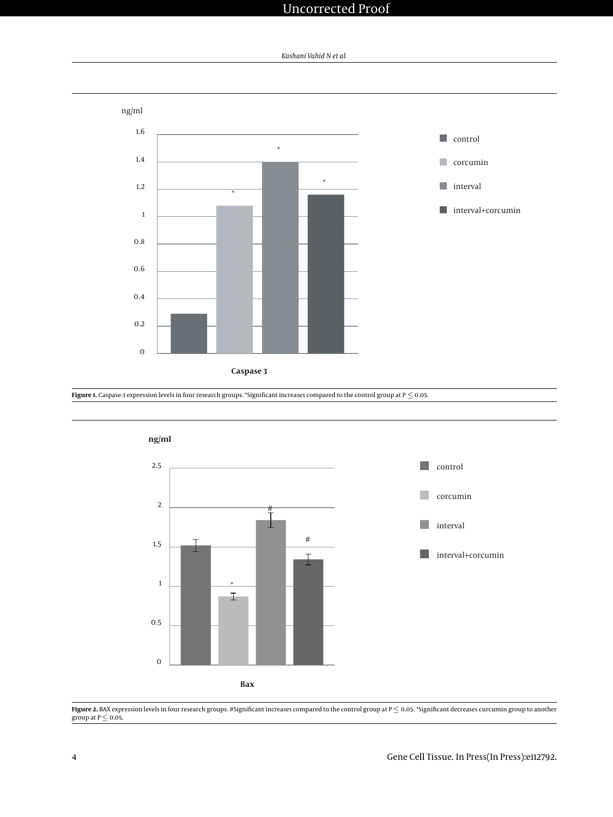# Uncorrected Proof



<span id="page-3-0"></span>

<span id="page-3-1"></span>**Figure 1.** Caspase-3 expression levels in four research groups. \*Significant increases compared to the control group at P  $\leq$  0.05.



**Figure 2.** BAX expression levels in four research groups. #Significant increases compared to the control group at P ≤ 0.05. \*Significant decreases curcumin group to another<br>group at P ≤ 0.05.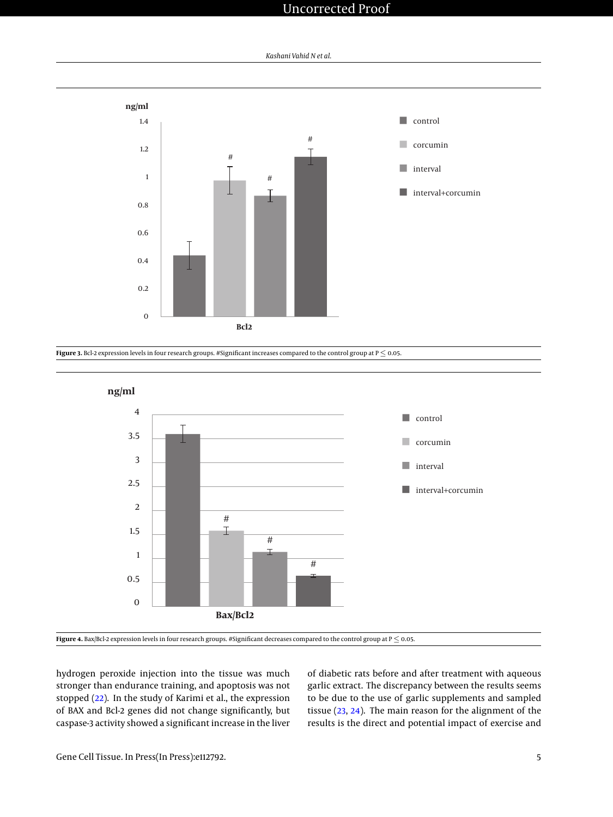# Uncorrected Proof



<span id="page-4-0"></span>

<span id="page-4-1"></span>

**Figure 4.** Bax/Bcl-2 expression levels in four research groups. #Significant decreases compared to the control group at P ≤ 0.05.

hydrogen peroxide injection into the tissue was much stronger than endurance training, and apoptosis was not stopped [\(22\)](#page-6-6). In the study of Karimi et al., the expression of BAX and Bcl-2 genes did not change significantly, but caspase-3 activity showed a significant increase in the liver

of diabetic rats before and after treatment with aqueous garlic extract. The discrepancy between the results seems to be due to the use of garlic supplements and sampled tissue [\(23,](#page-6-7) [24\)](#page-6-8). The main reason for the alignment of the results is the direct and potential impact of exercise and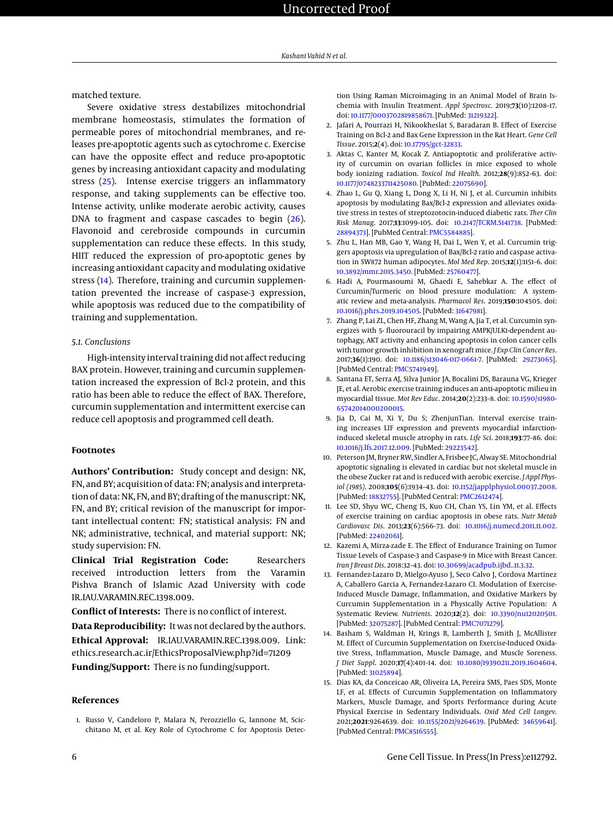matched texture.

Severe oxidative stress destabilizes mitochondrial membrane homeostasis, stimulates the formation of permeable pores of mitochondrial membranes, and releases pre-apoptotic agents such as cytochrome c. Exercise can have the opposite effect and reduce pro-apoptotic genes by increasing antioxidant capacity and modulating stress [\(25\)](#page-6-9). Intense exercise triggers an inflammatory response, and taking supplements can be effective too. Intense activity, unlike moderate aerobic activity, causes DNA to fragment and caspase cascades to begin [\(26\)](#page-6-10). Flavonoid and cerebroside compounds in curcumin supplementation can reduce these effects. In this study, HIIT reduced the expression of pro-apoptotic genes by increasing antioxidant capacity and modulating oxidative stress [\(14\)](#page-5-13). Therefore, training and curcumin supplementation prevented the increase of caspase-3 expression, while apoptosis was reduced due to the compatibility of training and supplementation.

# *5.1. Conclusions*

High-intensity interval training did not affect reducing BAX protein. However, training and curcumin supplementation increased the expression of Bcl-2 protein, and this ratio has been able to reduce the effect of BAX. Therefore, curcumin supplementation and intermittent exercise can reduce cell apoptosis and programmed cell death.

### **Footnotes**

**Authors' Contribution:** Study concept and design: NK, FN, and BY; acquisition of data: FN; analysis and interpretation of data: NK, FN, and BY; drafting of the manuscript: NK, FN, and BY; critical revision of the manuscript for important intellectual content: FN; statistical analysis: FN and NK; administrative, technical, and material support: NK; study supervision: FN.

**Clinical Trial Registration Code:** Researchers received introduction letters from the Varamin Pishva Branch of Islamic Azad University with code IR.IAU.VARAMIN.REC.1398.009.

**Conflict of Interests:** There is no conflict of interest.

**Data Reproducibility:** It was not declared by the authors. **Ethical Approval:** IR.IAU.VARAMIN.REC.1398.009. Link: ethics.research.ac.ir/EthicsProposalView.php?id=71209 **Funding/Support:** There is no funding/support.

#### **References**

<span id="page-5-0"></span>1. Russo V, Candeloro P, Malara N, Perozziello G, Iannone M, Scicchitano M, et al. Key Role of Cytochrome C for Apoptosis Detection Using Raman Microimaging in an Animal Model of Brain Ischemia with Insulin Treatment. *Appl Spectrosc*. 2019;**73**(10):1208–17. doi: [10.1177/0003702819858671.](http://dx.doi.org/10.1177/0003702819858671) [PubMed: [31219322\]](http://www.ncbi.nlm.nih.gov/pubmed/31219322).

- <span id="page-5-1"></span>2. Jafari A, Pourrazi H, Nikookheslat S, Baradaran B. Effect of Exercise Training on Bcl-2 and Bax Gene Expression in the Rat Heart. *Gene Cell Tissue*. 2015;**2**(4). doi: [10.17795/gct-32833.](http://dx.doi.org/10.17795/gct-32833)
- <span id="page-5-2"></span>3. Aktas C, Kanter M, Kocak Z. Antiapoptotic and proliferative activity of curcumin on ovarian follicles in mice exposed to whole body ionizing radiation. *Toxicol Ind Health*. 2012;**28**(9):852–63. doi: [10.1177/0748233711425080.](http://dx.doi.org/10.1177/0748233711425080) [PubMed: [22075690\]](http://www.ncbi.nlm.nih.gov/pubmed/22075690).
- <span id="page-5-3"></span>4. Zhao L, Gu Q, Xiang L, Dong X, Li H, Ni J, et al. Curcumin inhibits apoptosis by modulating Bax/Bcl-2 expression and alleviates oxidative stress in testes of streptozotocin-induced diabetic rats. *Ther Clin Risk Manag*. 2017;**13**:1099–105. doi: [10.2147/TCRM.S141738.](http://dx.doi.org/10.2147/TCRM.S141738) [PubMed: [28894373\]](http://www.ncbi.nlm.nih.gov/pubmed/28894373). [PubMed Central: [PMC5584885\]](https://www.ncbi.nlm.nih.gov/pmc/articles/PMC5584885).
- <span id="page-5-4"></span>5. Zhu L, Han MB, Gao Y, Wang H, Dai L, Wen Y, et al. Curcumin triggers apoptosis via upregulation of Bax/Bcl-2 ratio and caspase activation in SW872 human adipocytes. *Mol Med Rep*. 2015;**12**(1):1151–6. doi: [10.3892/mmr.2015.3450.](http://dx.doi.org/10.3892/mmr.2015.3450) [PubMed: [25760477\]](http://www.ncbi.nlm.nih.gov/pubmed/25760477).
- <span id="page-5-5"></span>6. Hadi A, Pourmasoumi M, Ghaedi E, Sahebkar A. The effect of Curcumin/Turmeric on blood pressure modulation: A systematic review and meta-analysis. *Pharmacol Res*. 2019;**150**:104505. doi: [10.1016/j.phrs.2019.104505.](http://dx.doi.org/10.1016/j.phrs.2019.104505) [PubMed: [31647981\]](http://www.ncbi.nlm.nih.gov/pubmed/31647981).
- <span id="page-5-6"></span>7. Zhang P, Lai ZL, Chen HF, Zhang M, Wang A, Jia T, et al. Curcumin synergizes with 5- fluorouracil by impairing AMPK/ULK1-dependent autophagy, AKT activity and enhancing apoptosis in colon cancer cells with tumor growth inhibition in xenograft mice. *J Exp Clin Cancer Res*. 2017;**36**(1):190. doi: [10.1186/s13046-017-0661-7.](http://dx.doi.org/10.1186/s13046-017-0661-7) [PubMed: [29273065\]](http://www.ncbi.nlm.nih.gov/pubmed/29273065). [PubMed Central: [PMC5741949\]](https://www.ncbi.nlm.nih.gov/pmc/articles/PMC5741949).
- <span id="page-5-7"></span>8. Santana ET, Serra AJ, Silva Junior JA, Bocalini DS, Barauna VG, Krieger JE, et al. Aerobic exercise training induces an anti-apoptotic milieu in myocardial tissue. *Mot Rev Educ*. 2014;**20**(2):233–8. doi: [10.1590/s1980-](http://dx.doi.org/10.1590/s1980-65742014000200015) [65742014000200015.](http://dx.doi.org/10.1590/s1980-65742014000200015)
- <span id="page-5-8"></span>9. Jia D, Cai M, Xi Y, Du S; ZhenjunTian. Interval exercise training increases LIF expression and prevents myocardial infarctioninduced skeletal muscle atrophy in rats. *Life Sci*. 2018;**193**:77–86. doi: [10.1016/j.lfs.2017.12.009.](http://dx.doi.org/10.1016/j.lfs.2017.12.009) [PubMed: [29223542\]](http://www.ncbi.nlm.nih.gov/pubmed/29223542).
- <span id="page-5-9"></span>10. Peterson JM, Bryner RW, Sindler A, Frisbee JC, Alway SE. Mitochondrial apoptotic signaling is elevated in cardiac but not skeletal muscle in the obese Zucker rat and is reduced with aerobic exercise. *J Appl Physiol (1985)*. 2008;**105**(6):1934–43. doi: [10.1152/japplphysiol.00037.2008.](http://dx.doi.org/10.1152/japplphysiol.00037.2008) [PubMed: [18832755\]](http://www.ncbi.nlm.nih.gov/pubmed/18832755). [PubMed Central: [PMC2612474\]](https://www.ncbi.nlm.nih.gov/pmc/articles/PMC2612474).
- <span id="page-5-10"></span>11. Lee SD, Shyu WC, Cheng IS, Kuo CH, Chan YS, Lin YM, et al. Effects of exercise training on cardiac apoptosis in obese rats. *Nutr Metab Cardiovasc Dis*. 2013;**23**(6):566–73. doi: [10.1016/j.numecd.2011.11.002.](http://dx.doi.org/10.1016/j.numecd.2011.11.002) [PubMed: [22402061\]](http://www.ncbi.nlm.nih.gov/pubmed/22402061).
- <span id="page-5-11"></span>12. Kazemi A, Mirza-zade E. The Effect of Endurance Training on Tumor Tissue Levels of Caspase-3 and Caspase-9 in Mice with Breast Cancer. *Iran J Breast Dis*. 2018:32–43. doi: [10.30699/acadpub.ijbd..11.3.32.](http://dx.doi.org/10.30699/acadpub.ijbd..11.3.32)
- <span id="page-5-12"></span>13. Fernandez-Lazaro D, Mielgo-Ayuso J, Seco Calvo J, Cordova Martinez A, Caballero Garcia A, Fernandez-Lazaro CI. Modulation of Exercise-Induced Muscle Damage, Inflammation, and Oxidative Markers by Curcumin Supplementation in a Physically Active Population: A Systematic Review. *Nutrients*. 2020;**12**(2). doi: [10.3390/nu12020501.](http://dx.doi.org/10.3390/nu12020501) [PubMed: [32075287\]](http://www.ncbi.nlm.nih.gov/pubmed/32075287). [PubMed Central: [PMC7071279\]](https://www.ncbi.nlm.nih.gov/pmc/articles/PMC7071279).
- <span id="page-5-13"></span>14. Basham S, Waldman H, Krings B, Lamberth J, Smith J, McAllister M. Effect of Curcumin Supplementation on Exercise-Induced Oxidative Stress, Inflammation, Muscle Damage, and Muscle Soreness. *J Diet Suppl*. 2020;**17**(4):401–14. doi: [10.1080/19390211.2019.1604604.](http://dx.doi.org/10.1080/19390211.2019.1604604) [PubMed: [31025894\]](http://www.ncbi.nlm.nih.gov/pubmed/31025894).
- <span id="page-5-14"></span>15. Dias KA, da Conceicao AR, Oliveira LA, Pereira SMS, Paes SDS, Monte LF, et al. Effects of Curcumin Supplementation on Inflammatory Markers, Muscle Damage, and Sports Performance during Acute Physical Exercise in Sedentary Individuals. *Oxid Med Cell Longev*. 2021;**2021**:9264639. doi: [10.1155/2021/9264639.](http://dx.doi.org/10.1155/2021/9264639) [PubMed: [34659641\]](http://www.ncbi.nlm.nih.gov/pubmed/34659641). [PubMed Central: [PMC8516555\]](https://www.ncbi.nlm.nih.gov/pmc/articles/PMC8516555).